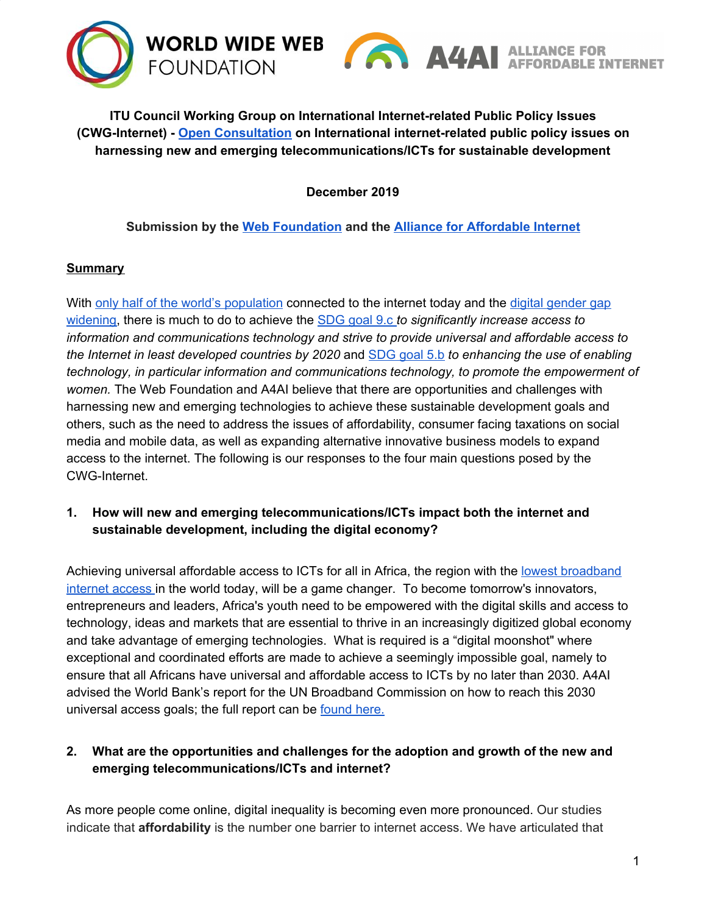

**ITU Council Working Group on International Internet-related Public Policy Issues (CWG-Internet) - Open [Consultation](https://www.itu.int/en/council/cwg-internet/Pages/consultation-oct2019.aspx) on International internet-related public policy issues on harnessing new and emerging telecommunications/ICTs for sustainable development**

**December 2019**

**Submission by the Web [Foundation](https://webfoundation.org/) and the Alliance for [Affordable](http://a4ai.org/) Internet**

## **Summary**

With only half of the world's [population](https://news.itu.int/itu-statistics-leaving-no-one-offline/) connected to the internet today and the digital [gender](https://www.itu.int/en/mediacentre/Pages/2019-PR19.aspx) gap [widening,](https://www.itu.int/en/mediacentre/Pages/2019-PR19.aspx) there is much to do to achieve the [SDG](https://sustainabledevelopment.un.org/sdg9) goal 9.c *to significantly increase access to information and communications technology and strive to provide universal and affordable access to the Internet in least developed countries by 2020* and [SDG](https://sustainabledevelopment.un.org/sdg5) goal 5.b *to enhancing the use of enabling technology, in particular information and communications technology, to promote the empowerment of women.* The Web Foundation and A4AI believe that there are opportunities and challenges with harnessing new and emerging technologies to achieve these sustainable development goals and others, such as the need to address the issues of affordability, consumer facing taxations on social media and mobile data, as well as expanding alternative innovative business models to expand access to the internet. The following is our responses to the four main questions posed by the CWG-Internet.

**1. How will new and emerging telecommunications/ICTs impact both the internet and sustainable development, including the digital economy?**

Achieving universal affordable access to ICTs for all in Africa, the region with the lowest [broadband](https://www.itu.int/en/ITU-D/Statistics/Documents/publications/misr2018/MISR-2018-Vol-1-E.pdf) [internet](https://www.itu.int/en/ITU-D/Statistics/Documents/publications/misr2018/MISR-2018-Vol-1-E.pdf) access in the world today, will be a game changer. To become tomorrow's innovators, entrepreneurs and leaders, Africa's youth need to be empowered with the digital skills and access to technology, ideas and markets that are essential to thrive in an increasingly digitized global economy and take advantage of emerging technologies. What is required is a "digital moonshot" where exceptional and coordinated efforts are made to achieve a seemingly impossible goal, namely to ensure that all Africans have universal and affordable access to ICTs by no later than 2030. A4AI advised the World Bank's report for the UN Broadband Commission on how to reach this 2030 universal access goals; the full report can be [found](https://www.broadbandcommission.org/workinggroups/Pages/WG2-2018.aspx) here.

## **2. What are the opportunities and challenges for the adoption and growth of the new and emerging telecommunications/ICTs and internet?**

As more people come online, digital inequality is becoming even more pronounced. Our studies indicate that **affordability** is the number one barrier to internet access. We have articulated that